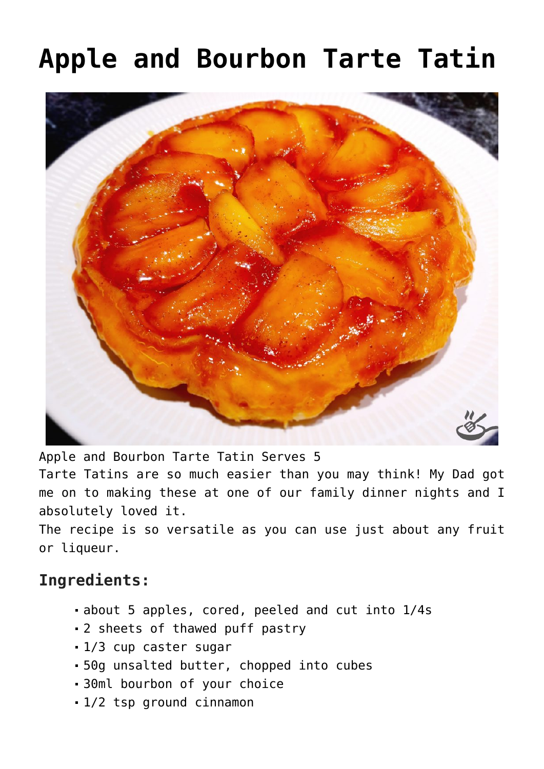## **[Apple and Bourbon Tarte Tatin](https://effortless-kitchen.com/2020/07/24/apple-and-bourbon-tarte-tatin/)**



Apple and Bourbon Tarte Tatin Serves 5

Tarte Tatins are so much easier than you may think! My Dad got me on to making these at one of our family dinner nights and I absolutely loved it.

The recipe is so versatile as you can use just about any fruit or liqueur.

## **Ingredients:**

- about 5 apples, cored, peeled and cut into 1/4s
- 2 sheets of thawed puff pastry
- 1/3 cup caster sugar
- 50g unsalted butter, chopped into cubes
- 30ml bourbon of your choice
- 1/2 tsp ground cinnamon